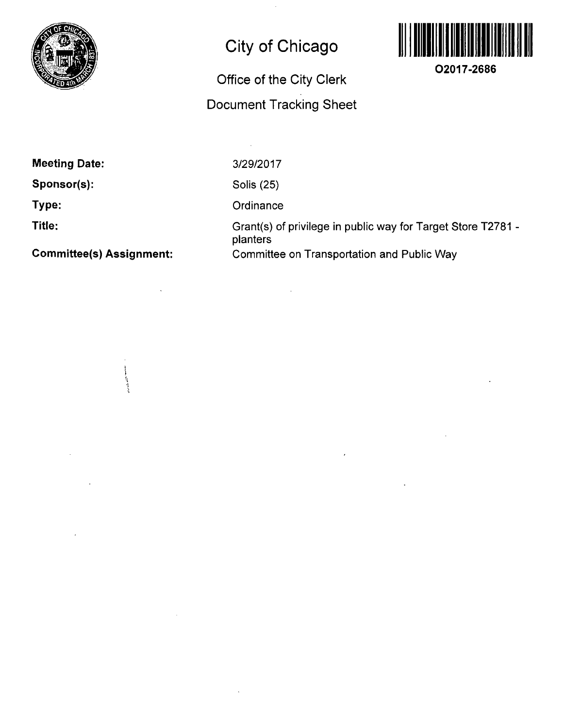

## **City of Chicago**

## **Office of the City Clerk Document Tracking Sheet**



**O2017-2686** 

**Meeting Date:** 

**Sponsor(s):** 

**Type:** 

**Title:** 

**Committee(s) Assignment:** 

ستان المراجع المراجع المراجع المراجع المراجع المراجع المراجع المراجع

3/29/2017

 $\hat{A}$ 

Solis (25)

**Ordinance** 

Grant(s) of privilege in public way for Target Store T2781 planters Committee on Transportation and Public Way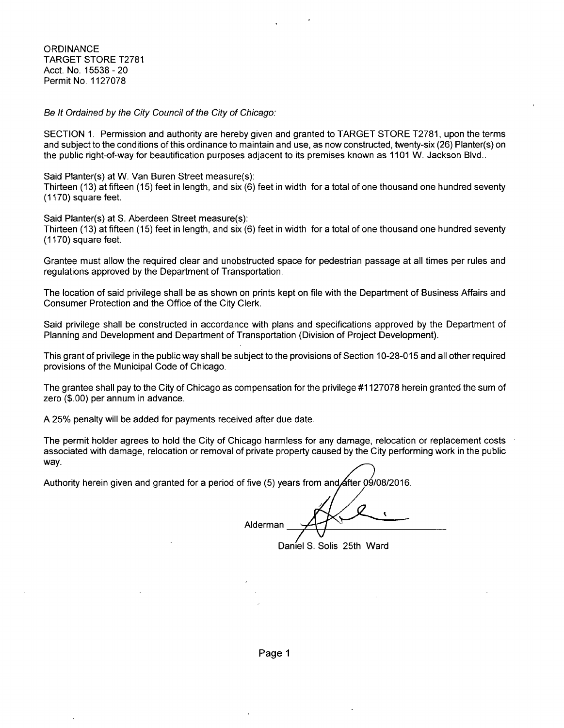**ORDINANCE** TARGET STORE T2781 Acct. No. 15538-20 Permit No. 1127078

Se It Ordained by the City Council of the City of Chicago:

SECTION 1. Permission and authority are hereby given and granted to TARGET STORE T2781, upon the terms and subject to the conditions of this ordinance to maintain and use, as now constructed, twenty-six (26) Planter(s) on the public right-of-way for beautification purposes adjacent to its premises known as 1101 W. Jackson Blvd..

Said Planter(s) at W. Van Buren Street measure(s): Thirteen (13) at fifteen (15) feet in length, and six (6) feet in width fora total of one thousand one hundred seventy (1170) square feet.

Said Planter(s) at S. Aberdeen Street measure(s):

Thirteen (13) at fifteen (15) feet in length, and six (6) feet in width for a total of one thousand one hundred seventy (1170) square feet.

Grantee must allow the required clear and unobstructed space for pedestrian passage at all times per rules and regulations approved by the Department of Transportation.

The location of said privilege shall be as shown on prints kept on file with the Department of Business Affairs and Consumer Protection and the Office of the City Clerk.

Said privilege shall be constructed in accordance with plans and specifications approved by the Department of Planning and Development and Department of Transportation (Division of Project Development).

This grant of privilege in the public way shall be subject to the provisions of Section 10-28-015 and all other required provisions of the Municipal Code of Chicago.

The grantee shall pay to the City of Chicago as compensation forthe privilege #1127078 herein granted the sum of zero (\$.00) per annum in advance.

A 25% penalty will be added for payments received after due date.

The permit holder agrees to hold the City of Chicago harmless for any damage, relocation or replacement costs associated with damage, relocation or removal of private property caused by the City performing work in the public way.

Authority herein given and granted for a period of five (5) years from and  $\cancel{\mathsf{a}}$ fter 09/08/2016.

Alderman

Daniel S. Solis 25th Ward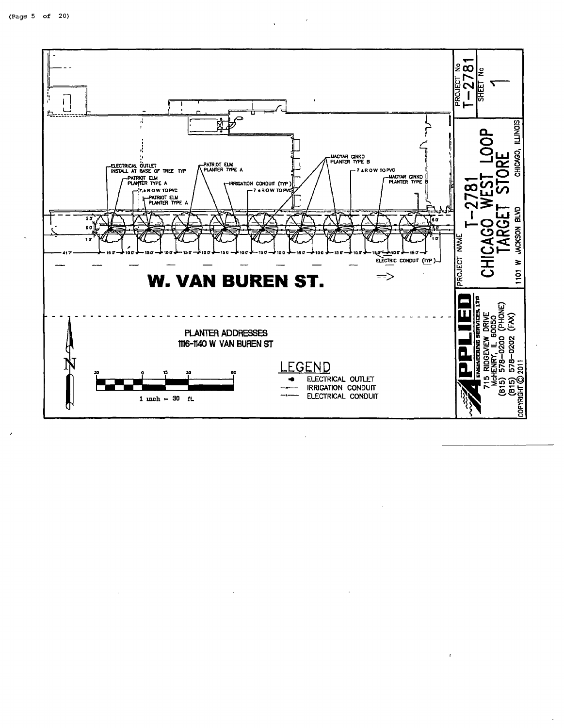